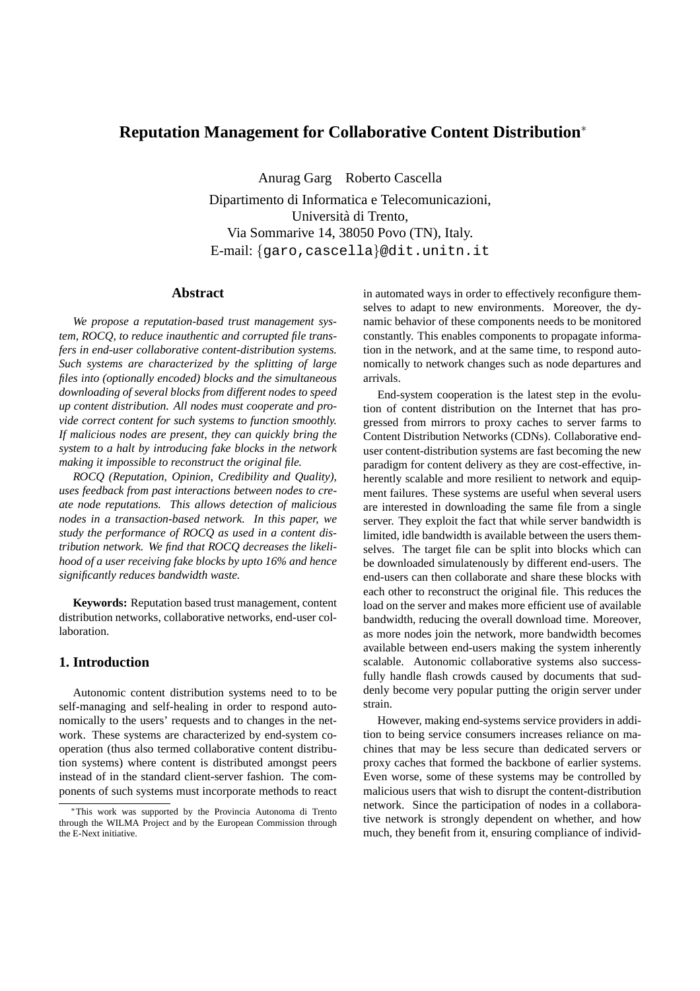# **Reputation Management for Collaborative Content Distribution**<sup>∗</sup>

Anurag Garg Roberto Cascella

Dipartimento di Informatica e Telecomunicazioni, Universita di Trento, ` Via Sommarive 14, 38050 Povo (TN), Italy. E-mail: {garo,cascella}@dit.unitn.it

## **Abstract**

*We propose a reputation-based trust management system, ROCQ, to reduce inauthentic and corrupted file transfers in end-user collaborative content-distribution systems. Such systems are characterized by the splitting of large files into (optionally encoded) blocks and the simultaneous downloading of several blocks from different nodes to speed up content distribution. All nodes must cooperate and provide correct content for such systems to function smoothly. If malicious nodes are present, they can quickly bring the system to a halt by introducing fake blocks in the network making it impossible to reconstruct the original file.*

*ROCQ (Reputation, Opinion, Credibility and Quality), uses feedback from past interactions between nodes to create node reputations. This allows detection of malicious nodes in a transaction-based network. In this paper, we study the performance of ROCQ as used in a content distribution network. We find that ROCQ decreases the likelihood of a user receiving fake blocks by upto 16% and hence significantly reduces bandwidth waste.*

**Keywords:** Reputation based trust management, content distribution networks, collaborative networks, end-user collaboration.

## **1. Introduction**

Autonomic content distribution systems need to to be self-managing and self-healing in order to respond autonomically to the users' requests and to changes in the network. These systems are characterized by end-system cooperation (thus also termed collaborative content distribution systems) where content is distributed amongst peers instead of in the standard client-server fashion. The components of such systems must incorporate methods to react in automated ways in order to effectively reconfigure themselves to adapt to new environments. Moreover, the dynamic behavior of these components needs to be monitored constantly. This enables components to propagate information in the network, and at the same time, to respond autonomically to network changes such as node departures and arrivals.

End-system cooperation is the latest step in the evolution of content distribution on the Internet that has progressed from mirrors to proxy caches to server farms to Content Distribution Networks (CDNs). Collaborative enduser content-distribution systems are fast becoming the new paradigm for content delivery as they are cost-effective, inherently scalable and more resilient to network and equipment failures. These systems are useful when several users are interested in downloading the same file from a single server. They exploit the fact that while server bandwidth is limited, idle bandwidth is available between the users themselves. The target file can be split into blocks which can be downloaded simulatenously by different end-users. The end-users can then collaborate and share these blocks with each other to reconstruct the original file. This reduces the load on the server and makes more efficient use of available bandwidth, reducing the overall download time. Moreover, as more nodes join the network, more bandwidth becomes available between end-users making the system inherently scalable. Autonomic collaborative systems also successfully handle flash crowds caused by documents that suddenly become very popular putting the origin server under strain.

However, making end-systems service providers in addition to being service consumers increases reliance on machines that may be less secure than dedicated servers or proxy caches that formed the backbone of earlier systems. Even worse, some of these systems may be controlled by malicious users that wish to disrupt the content-distribution network. Since the participation of nodes in a collaborative network is strongly dependent on whether, and how much, they benefit from it, ensuring compliance of individ-

<sup>∗</sup>This work was supported by the Provincia Autonoma di Trento through the WILMA Project and by the European Commission through the E-Next initiative.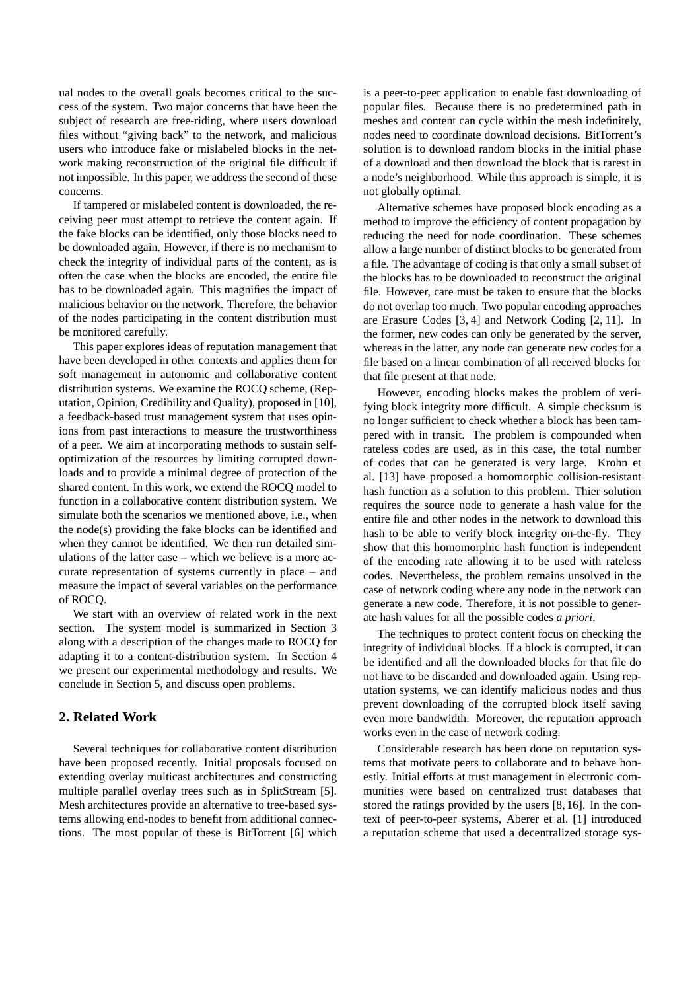ual nodes to the overall goals becomes critical to the success of the system. Two major concerns that have been the subject of research are free-riding, where users download files without "giving back" to the network, and malicious users who introduce fake or mislabeled blocks in the network making reconstruction of the original file difficult if not impossible. In this paper, we address the second of these concerns.

If tampered or mislabeled content is downloaded, the receiving peer must attempt to retrieve the content again. If the fake blocks can be identified, only those blocks need to be downloaded again. However, if there is no mechanism to check the integrity of individual parts of the content, as is often the case when the blocks are encoded, the entire file has to be downloaded again. This magnifies the impact of malicious behavior on the network. Therefore, the behavior of the nodes participating in the content distribution must be monitored carefully.

This paper explores ideas of reputation management that have been developed in other contexts and applies them for soft management in autonomic and collaborative content distribution systems. We examine the ROCQ scheme, (Reputation, Opinion, Credibility and Quality), proposed in [10], a feedback-based trust management system that uses opinions from past interactions to measure the trustworthiness of a peer. We aim at incorporating methods to sustain selfoptimization of the resources by limiting corrupted downloads and to provide a minimal degree of protection of the shared content. In this work, we extend the ROCQ model to function in a collaborative content distribution system. We simulate both the scenarios we mentioned above, i.e., when the node(s) providing the fake blocks can be identified and when they cannot be identified. We then run detailed simulations of the latter case – which we believe is a more accurate representation of systems currently in place – and measure the impact of several variables on the performance of ROCQ.

We start with an overview of related work in the next section. The system model is summarized in Section 3 along with a description of the changes made to ROCQ for adapting it to a content-distribution system. In Section 4 we present our experimental methodology and results. We conclude in Section 5, and discuss open problems.

## **2. Related Work**

Several techniques for collaborative content distribution have been proposed recently. Initial proposals focused on extending overlay multicast architectures and constructing multiple parallel overlay trees such as in SplitStream [5]. Mesh architectures provide an alternative to tree-based systems allowing end-nodes to benefit from additional connections. The most popular of these is BitTorrent [6] which is a peer-to-peer application to enable fast downloading of popular files. Because there is no predetermined path in meshes and content can cycle within the mesh indefinitely, nodes need to coordinate download decisions. BitTorrent's solution is to download random blocks in the initial phase of a download and then download the block that is rarest in a node's neighborhood. While this approach is simple, it is not globally optimal.

Alternative schemes have proposed block encoding as a method to improve the efficiency of content propagation by reducing the need for node coordination. These schemes allow a large number of distinct blocks to be generated from a file. The advantage of coding is that only a small subset of the blocks has to be downloaded to reconstruct the original file. However, care must be taken to ensure that the blocks do not overlap too much. Two popular encoding approaches are Erasure Codes [3, 4] and Network Coding [2, 11]. In the former, new codes can only be generated by the server, whereas in the latter, any node can generate new codes for a file based on a linear combination of all received blocks for that file present at that node.

However, encoding blocks makes the problem of verifying block integrity more difficult. A simple checksum is no longer sufficient to check whether a block has been tampered with in transit. The problem is compounded when rateless codes are used, as in this case, the total number of codes that can be generated is very large. Krohn et al. [13] have proposed a homomorphic collision-resistant hash function as a solution to this problem. Thier solution requires the source node to generate a hash value for the entire file and other nodes in the network to download this hash to be able to verify block integrity on-the-fly. They show that this homomorphic hash function is independent of the encoding rate allowing it to be used with rateless codes. Nevertheless, the problem remains unsolved in the case of network coding where any node in the network can generate a new code. Therefore, it is not possible to generate hash values for all the possible codes *a priori*.

The techniques to protect content focus on checking the integrity of individual blocks. If a block is corrupted, it can be identified and all the downloaded blocks for that file do not have to be discarded and downloaded again. Using reputation systems, we can identify malicious nodes and thus prevent downloading of the corrupted block itself saving even more bandwidth. Moreover, the reputation approach works even in the case of network coding.

Considerable research has been done on reputation systems that motivate peers to collaborate and to behave honestly. Initial efforts at trust management in electronic communities were based on centralized trust databases that stored the ratings provided by the users [8, 16]. In the context of peer-to-peer systems, Aberer et al. [1] introduced a reputation scheme that used a decentralized storage sys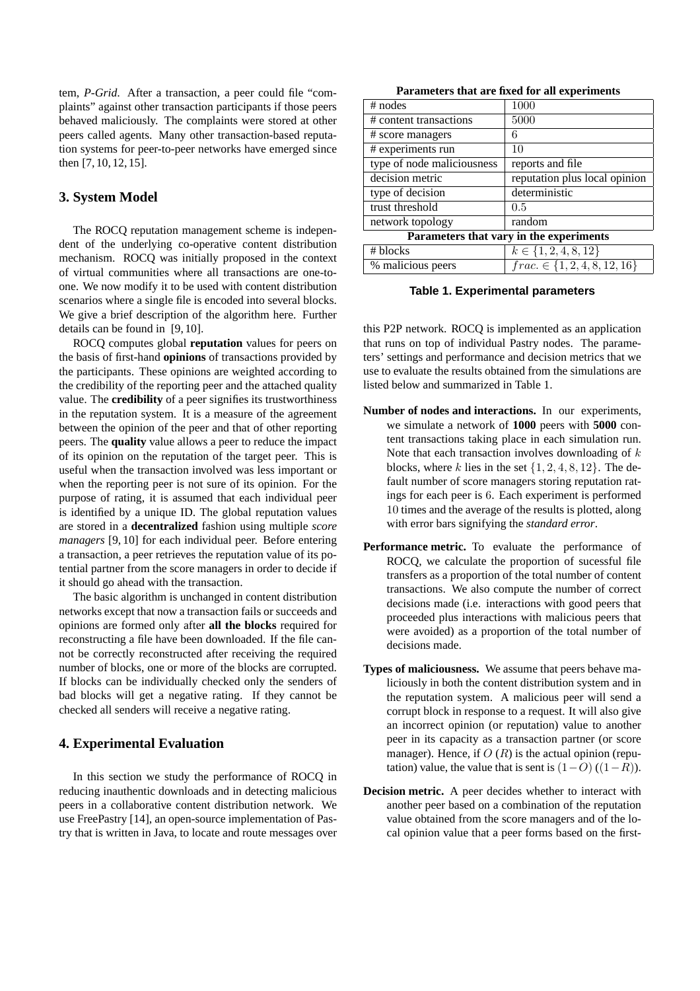tem, *P-Grid*. After a transaction, a peer could file "complaints" against other transaction participants if those peers behaved maliciously. The complaints were stored at other peers called agents. Many other transaction-based reputation systems for peer-to-peer networks have emerged since then [7, 10, 12, 15].

## **3. System Model**

The ROCQ reputation management scheme is independent of the underlying co-operative content distribution mechanism. ROCQ was initially proposed in the context of virtual communities where all transactions are one-toone. We now modify it to be used with content distribution scenarios where a single file is encoded into several blocks. We give a brief description of the algorithm here. Further details can be found in [9, 10].

ROCQ computes global **reputation** values for peers on the basis of first-hand **opinions** of transactions provided by the participants. These opinions are weighted according to the credibility of the reporting peer and the attached quality value. The **credibility** of a peer signifies its trustworthiness in the reputation system. It is a measure of the agreement between the opinion of the peer and that of other reporting peers. The **quality** value allows a peer to reduce the impact of its opinion on the reputation of the target peer. This is useful when the transaction involved was less important or when the reporting peer is not sure of its opinion. For the purpose of rating, it is assumed that each individual peer is identified by a unique ID. The global reputation values are stored in a **decentralized** fashion using multiple *score managers* [9, 10] for each individual peer. Before entering a transaction, a peer retrieves the reputation value of its potential partner from the score managers in order to decide if it should go ahead with the transaction.

The basic algorithm is unchanged in content distribution networks except that now a transaction fails or succeeds and opinions are formed only after **all the blocks** required for reconstructing a file have been downloaded. If the file cannot be correctly reconstructed after receiving the required number of blocks, one or more of the blocks are corrupted. If blocks can be individually checked only the senders of bad blocks will get a negative rating. If they cannot be checked all senders will receive a negative rating.

## **4. Experimental Evaluation**

In this section we study the performance of ROCQ in reducing inauthentic downloads and in detecting malicious peers in a collaborative content distribution network. We use FreePastry [14], an open-source implementation of Pastry that is written in Java, to locate and route messages over

**Parameters that are fixed for all experiments**

| $#$ nodes                               | 1000                               |
|-----------------------------------------|------------------------------------|
| # content transactions                  | 5000                               |
| # score managers                        | 6                                  |
| # experiments run                       | 10                                 |
| type of node maliciousness              | reports and file                   |
| decision metric                         | reputation plus local opinion      |
| type of decision                        | deterministic                      |
| trust threshold                         | 0.5                                |
| network topology                        | random                             |
| Parameters that vary in the experiments |                                    |
| # blocks                                | $k \in \{1, 2, 4, 8, 12\}$         |
| % malicious peers                       | $frac. \in \{1, 2, 4, 8, 12, 16\}$ |

**Table 1. Experimental parameters**

this P2P network. ROCQ is implemented as an application that runs on top of individual Pastry nodes. The parameters' settings and performance and decision metrics that we use to evaluate the results obtained from the simulations are listed below and summarized in Table 1.

- **Number of nodes and interactions.** In our experiments, we simulate a network of **1000** peers with **5000** content transactions taking place in each simulation run. Note that each transaction involves downloading of  $k$ blocks, where k lies in the set  $\{1, 2, 4, 8, 12\}$ . The default number of score managers storing reputation ratings for each peer is 6. Each experiment is performed 10 times and the average of the results is plotted, along with error bars signifying the *standard error*.
- **Performance metric.** To evaluate the performance of ROCQ, we calculate the proportion of sucessful file transfers as a proportion of the total number of content transactions. We also compute the number of correct decisions made (i.e. interactions with good peers that proceeded plus interactions with malicious peers that were avoided) as a proportion of the total number of decisions made.
- **Types of maliciousness.** We assume that peers behave maliciously in both the content distribution system and in the reputation system. A malicious peer will send a corrupt block in response to a request. It will also give an incorrect opinion (or reputation) value to another peer in its capacity as a transaction partner (or score manager). Hence, if  $O(R)$  is the actual opinion (reputation) value, the value that is sent is  $(1 - O)$   $((1 - R))$ .
- **Decision metric.** A peer decides whether to interact with another peer based on a combination of the reputation value obtained from the score managers and of the local opinion value that a peer forms based on the first-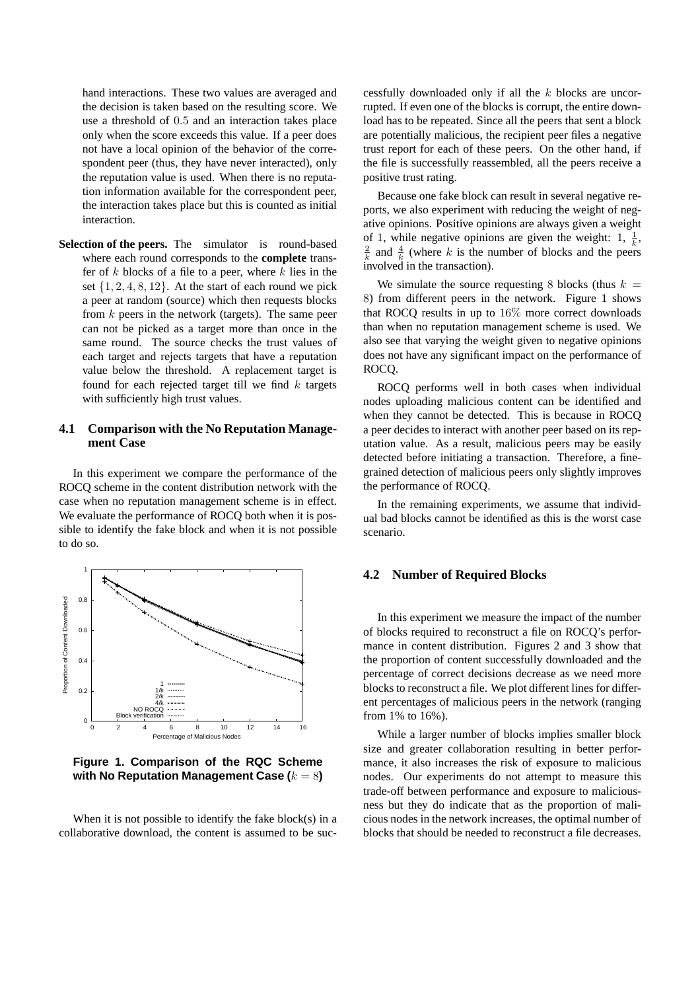hand interactions. These two values are averaged and the decision is taken based on the resulting score. We use a threshold of 0.5 and an interaction takes place only when the score exceeds this value. If a peer does not have a local opinion of the behavior of the correspondent peer (thus, they have never interacted), only the reputation value is used. When there is no reputation information available for the correspondent peer, the interaction takes place but this is counted as initial interaction.

**Selection of the peers.** The simulator is round-based where each round corresponds to the **complete** transfer of  $k$  blocks of a file to a peer, where  $k$  lies in the set  $\{1, 2, 4, 8, 12\}$ . At the start of each round we pick a peer at random (source) which then requests blocks from  $k$  peers in the network (targets). The same peer can not be picked as a target more than once in the same round. The source checks the trust values of each target and rejects targets that have a reputation value below the threshold. A replacement target is found for each rejected target till we find  $k$  targets with sufficiently high trust values.

#### **4.1 Comparison with the No Reputation Management Case**

In this experiment we compare the performance of the ROCQ scheme in the content distribution network with the case when no reputation management scheme is in effect. We evaluate the performance of ROCQ both when it is possible to identify the fake block and when it is not possible to do so.



**Figure 1. Comparison of the RQC Scheme** with No Reputation Management Case  $(k = 8)$ 

When it is not possible to identify the fake block(s) in a collaborative download, the content is assumed to be successfully downloaded only if all the k blocks are uncorrupted. If even one of the blocks is corrupt, the entire download has to be repeated. Since all the peers that sent a block are potentially malicious, the recipient peer files a negative trust report for each of these peers. On the other hand, if the file is successfully reassembled, all the peers receive a positive trust rating.

Because one fake block can result in several negative reports, we also experiment with reducing the weight of negative opinions. Positive opinions are always given a weight of 1, while negative opinions are given the weight: 1,  $\frac{1}{k}$ ,  $\frac{2}{k}$  and  $\frac{4}{k}$  (where k is the number of blocks and the peers involved in the transaction).

We simulate the source requesting 8 blocks (thus  $k =$ 8) from different peers in the network. Figure 1 shows that ROCQ results in up to 16% more correct downloads than when no reputation management scheme is used. We also see that varying the weight given to negative opinions does not have any significant impact on the performance of ROCQ.

ROCQ performs well in both cases when individual nodes uploading malicious content can be identified and when they cannot be detected. This is because in ROCQ a peer decides to interact with another peer based on its reputation value. As a result, malicious peers may be easily detected before initiating a transaction. Therefore, a finegrained detection of malicious peers only slightly improves the performance of ROCQ.

In the remaining experiments, we assume that individual bad blocks cannot be identified as this is the worst case scenario.

### **4.2 Number of Required Blocks**

In this experiment we measure the impact of the number of blocks required to reconstruct a file on ROCQ's performance in content distribution. Figures 2 and 3 show that the proportion of content successfully downloaded and the percentage of correct decisions decrease as we need more blocks to reconstruct a file. We plot different lines for different percentages of malicious peers in the network (ranging from 1% to 16%).

While a larger number of blocks implies smaller block size and greater collaboration resulting in better performance, it also increases the risk of exposure to malicious nodes. Our experiments do not attempt to measure this trade-off between performance and exposure to maliciousness but they do indicate that as the proportion of malicious nodes in the network increases, the optimal number of blocks that should be needed to reconstruct a file decreases.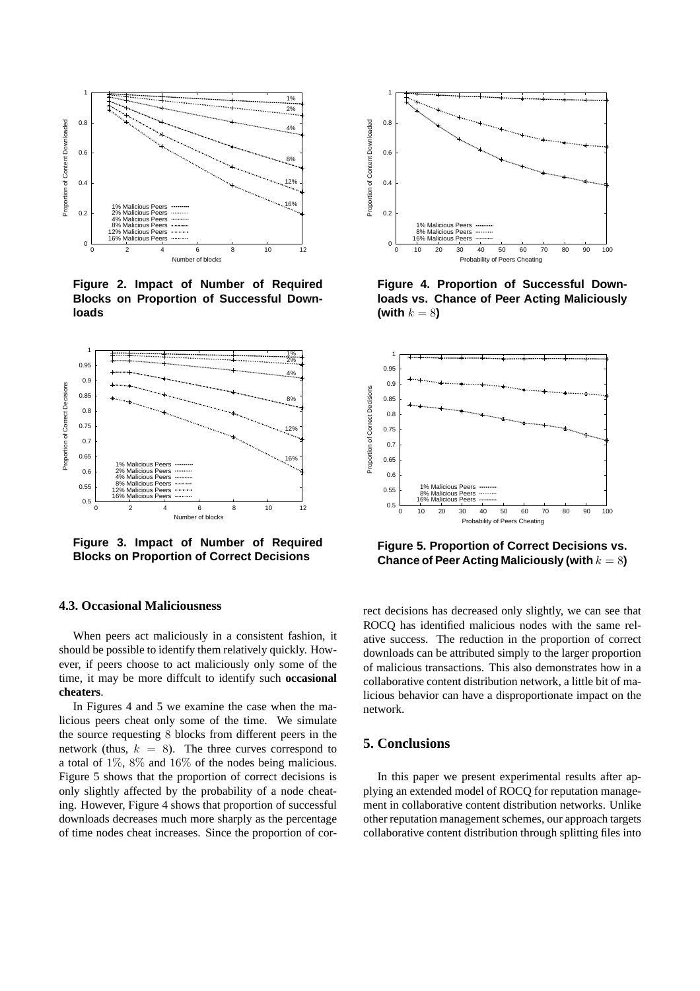

**Figure 2. Impact of Number of Required Blocks on Proportion of Successful Downloads**



**Figure 3. Impact of Number of Required Blocks on Proportion of Correct Decisions**

## **4.3. Occasional Maliciousness**

When peers act maliciously in a consistent fashion, it should be possible to identify them relatively quickly. However, if peers choose to act maliciously only some of the time, it may be more diffcult to identify such **occasional cheaters**.

In Figures 4 and 5 we examine the case when the malicious peers cheat only some of the time. We simulate the source requesting 8 blocks from different peers in the network (thus,  $k = 8$ ). The three curves correspond to a total of  $1\%$ ,  $8\%$  and  $16\%$  of the nodes being malicious. Figure 5 shows that the proportion of correct decisions is only slightly affected by the probability of a node cheating. However, Figure 4 shows that proportion of successful downloads decreases much more sharply as the percentage of time nodes cheat increases. Since the proportion of cor-



**Figure 4. Proportion of Successful Downloads vs. Chance of Peer Acting Maliciously (with**  $k = 8$ **)** 



**Figure 5. Proportion of Correct Decisions vs. Chance of Peer Acting Maliciously (with**  $k = 8$ )

rect decisions has decreased only slightly, we can see that ROCQ has identified malicious nodes with the same relative success. The reduction in the proportion of correct downloads can be attributed simply to the larger proportion of malicious transactions. This also demonstrates how in a collaborative content distribution network, a little bit of malicious behavior can have a disproportionate impact on the network.

## **5. Conclusions**

In this paper we present experimental results after applying an extended model of ROCQ for reputation management in collaborative content distribution networks. Unlike other reputation management schemes, our approach targets collaborative content distribution through splitting files into